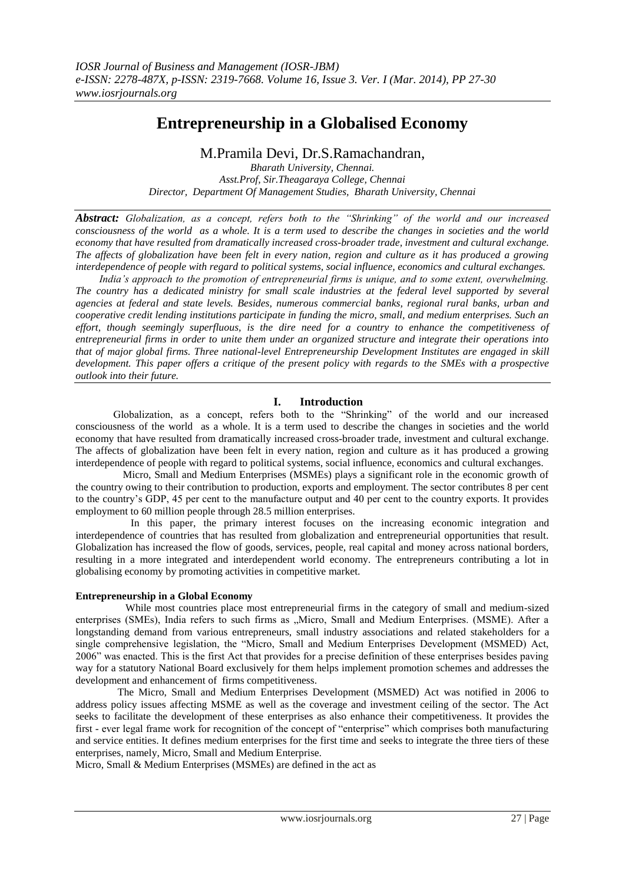# **Entrepreneurship in a Globalised Economy**

M.Pramila Devi, Dr.S.Ramachandran,

*Bharath University, Chennai. Asst.Prof, Sir.Theagaraya College, Chennai Director, Department Of Management Studies, Bharath University, Chennai*

*Abstract: Globalization, as a concept, refers both to the "Shrinking" of the world and our increased consciousness of the world as a whole. It is a term used to describe the changes in societies and the world economy that have resulted from dramatically increased cross-broader trade, investment and cultural exchange. The affects of globalization have been felt in every nation, region and culture as it has produced a growing interdependence of people with regard to political systems, social influence, economics and cultural exchanges.*

 *India's approach to the promotion of entrepreneurial firms is unique, and to some extent, overwhelming. The country has a dedicated ministry for small scale industries at the federal level supported by several agencies at federal and state levels. Besides, numerous commercial banks, regional rural banks, urban and cooperative credit lending institutions participate in funding the micro, small, and medium enterprises. Such an effort, though seemingly superfluous, is the dire need for a country to enhance the competitiveness of entrepreneurial firms in order to unite them under an organized structure and integrate their operations into that of major global firms. Three national-level Entrepreneurship Development Institutes are engaged in skill development. This paper offers a critique of the present policy with regards to the SMEs with a prospective outlook into their future.* 

# **I. Introduction**

 Globalization, as a concept, refers both to the "Shrinking" of the world and our increased consciousness of the world as a whole. It is a term used to describe the changes in societies and the world economy that have resulted from dramatically increased cross-broader trade, investment and cultural exchange. The affects of globalization have been felt in every nation, region and culture as it has produced a growing interdependence of people with regard to political systems, social influence, economics and cultural exchanges.

 Micro, Small and Medium Enterprises (MSMEs) plays a significant role in the economic growth of the country owing to their contribution to production, exports and employment. The sector contributes 8 per cent to the country's GDP, 45 per cent to the manufacture output and 40 per cent to the country exports. It provides employment to 60 million people through 28.5 million enterprises.

 In this paper, the primary interest focuses on the increasing economic integration and interdependence of countries that has resulted from globalization and entrepreneurial opportunities that result. Globalization has increased the flow of goods, services, people, real capital and money across national borders, resulting in a more integrated and interdependent world economy. The entrepreneurs contributing a lot in globalising economy by promoting activities in competitive market.

# **Entrepreneurship in a Global Economy**

 While most countries place most entrepreneurial firms in the category of small and medium-sized enterprises (SMEs), India refers to such firms as "Micro, Small and Medium Enterprises. (MSME). After a longstanding demand from various entrepreneurs, small industry associations and related stakeholders for a single comprehensive legislation, the "Micro, Small and Medium Enterprises Development (MSMED) Act, 2006" was enacted. This is the first Act that provides for a precise definition of these enterprises besides paving way for a statutory National Board exclusively for them helps implement promotion schemes and addresses the development and enhancement of firms competitiveness.

 The Micro, Small and Medium Enterprises Development (MSMED) Act was notified in 2006 to address policy issues affecting MSME as well as the coverage and investment ceiling of the sector. The Act seeks to facilitate the development of these enterprises as also enhance their competitiveness. It provides the first - ever legal frame work for recognition of the concept of "enterprise" which comprises both manufacturing and service entities. It defines medium enterprises for the first time and seeks to integrate the three tiers of these enterprises, namely, Micro, Small and Medium Enterprise.

Micro, Small & Medium Enterprises (MSMEs) are defined in the act as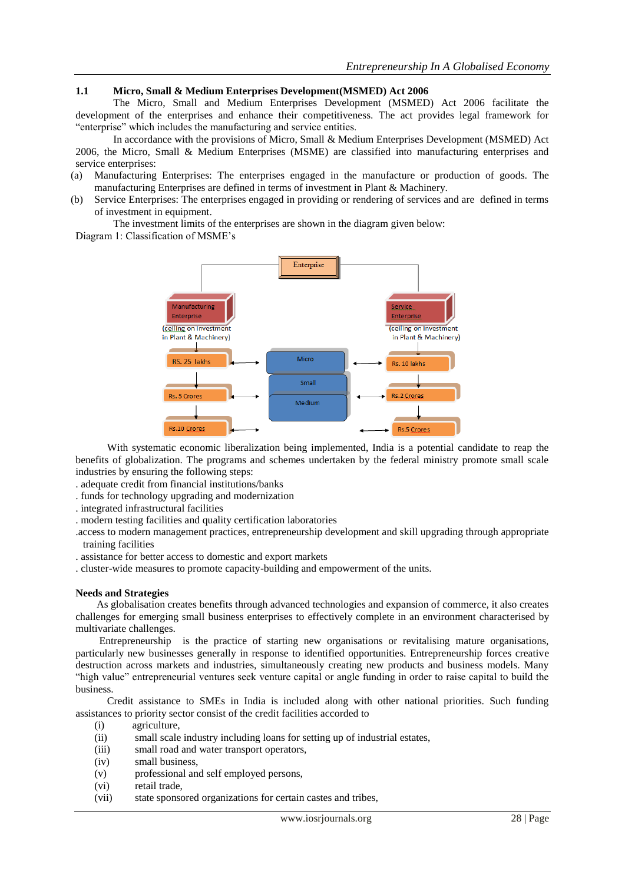# **1.1 Micro, Small & Medium Enterprises Development(MSMED) Act 2006**

The Micro, Small and Medium Enterprises Development (MSMED) Act 2006 facilitate the development of the enterprises and enhance their competitiveness. The act provides legal framework for "enterprise" which includes the manufacturing and service entities.

In accordance with the provisions of Micro, Small & Medium Enterprises Development (MSMED) Act 2006, the Micro, Small & Medium Enterprises (MSME) are classified into manufacturing enterprises and service enterprises:

- (a) Manufacturing Enterprises: The enterprises engaged in the manufacture or production of goods. The manufacturing Enterprises are defined in terms of investment in Plant & Machinery.
- (b) Service Enterprises: The enterprises engaged in providing or rendering of services and are defined in terms of investment in equipment.

The investment limits of the enterprises are shown in the diagram given below:

Diagram 1: Classification of MSME's



 With systematic economic liberalization being implemented, India is a potential candidate to reap the benefits of globalization. The programs and schemes undertaken by the federal ministry promote small scale industries by ensuring the following steps:

- . adequate credit from financial institutions/banks
- . funds for technology upgrading and modernization
- . integrated infrastructural facilities
- . modern testing facilities and quality certification laboratories
- .access to modern management practices, entrepreneurship development and skill upgrading through appropriate training facilities
- . assistance for better access to domestic and export markets
- . cluster-wide measures to promote capacity-building and empowerment of the units.

#### **Needs and Strategies**

 As globalisation creates benefits through advanced technologies and expansion of commerce, it also creates challenges for emerging small business enterprises to effectively complete in an environment characterised by multivariate challenges.

 Entrepreneurship is the practice of starting new organisations or revitalising mature organisations, particularly new businesses generally in response to identified opportunities. Entrepreneurship forces creative destruction across markets and industries, simultaneously creating new products and business models. Many "high value" entrepreneurial ventures seek venture capital or angle funding in order to raise capital to build the business.

 Credit assistance to SMEs in India is included along with other national priorities. Such funding assistances to priority sector consist of the credit facilities accorded to

- (i) agriculture,
- (ii) small scale industry including loans for setting up of industrial estates,
- (iii) small road and water transport operators,
- (iv) small business,
- (v) professional and self employed persons,
- (vi) retail trade,
- (vii) state sponsored organizations for certain castes and tribes,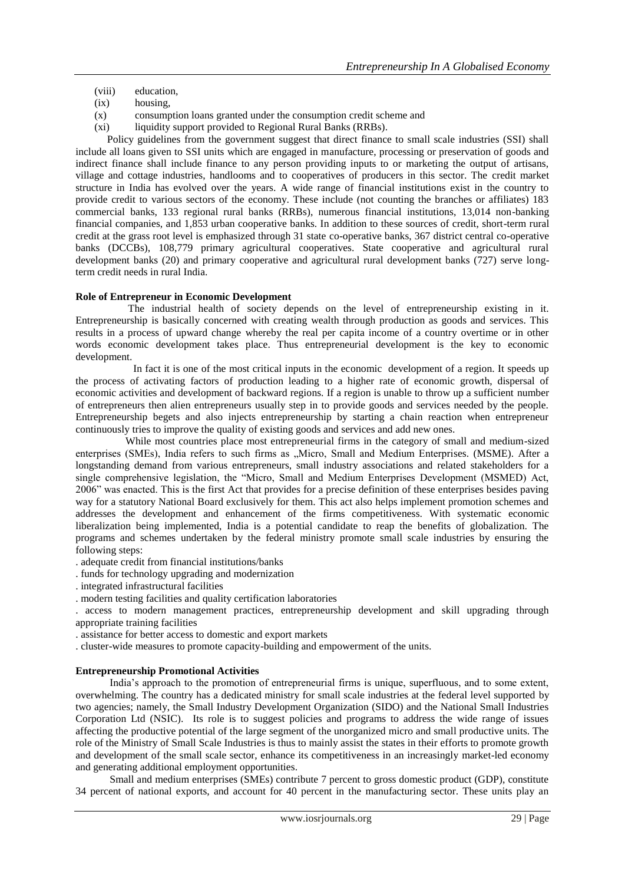- (viii) education,
- (ix) housing,
- (x) consumption loans granted under the consumption credit scheme and
- (xi) liquidity support provided to Regional Rural Banks (RRBs).

 Policy guidelines from the government suggest that direct finance to small scale industries (SSI) shall include all loans given to SSI units which are engaged in manufacture, processing or preservation of goods and indirect finance shall include finance to any person providing inputs to or marketing the output of artisans, village and cottage industries, handlooms and to cooperatives of producers in this sector. The credit market structure in India has evolved over the years. A wide range of financial institutions exist in the country to provide credit to various sectors of the economy. These include (not counting the branches or affiliates) 183 commercial banks, 133 regional rural banks (RRBs), numerous financial institutions, 13,014 non-banking financial companies, and 1,853 urban cooperative banks. In addition to these sources of credit, short-term rural credit at the grass root level is emphasized through 31 state co-operative banks, 367 district central co-operative banks (DCCBs), 108,779 primary agricultural cooperatives. State cooperative and agricultural rural development banks (20) and primary cooperative and agricultural rural development banks (727) serve longterm credit needs in rural India.

## **Role of Entrepreneur in Economic Development**

 The industrial health of society depends on the level of entrepreneurship existing in it. Entrepreneurship is basically concerned with creating wealth through production as goods and services. This results in a process of upward change whereby the real per capita income of a country overtime or in other words economic development takes place. Thus entrepreneurial development is the key to economic development.

 In fact it is one of the most critical inputs in the economic development of a region. It speeds up the process of activating factors of production leading to a higher rate of economic growth, dispersal of economic activities and development of backward regions. If a region is unable to throw up a sufficient number of entrepreneurs then alien entrepreneurs usually step in to provide goods and services needed by the people. Entrepreneurship begets and also injects entrepreneurship by starting a chain reaction when entrepreneur continuously tries to improve the quality of existing goods and services and add new ones.

 While most countries place most entrepreneurial firms in the category of small and medium-sized enterprises (SMEs), India refers to such firms as "Micro, Small and Medium Enterprises. (MSME). After a longstanding demand from various entrepreneurs, small industry associations and related stakeholders for a single comprehensive legislation, the "Micro, Small and Medium Enterprises Development (MSMED) Act, 2006" was enacted. This is the first Act that provides for a precise definition of these enterprises besides paving way for a statutory National Board exclusively for them. This act also helps implement promotion schemes and addresses the development and enhancement of the firms competitiveness. With systematic economic liberalization being implemented, India is a potential candidate to reap the benefits of globalization. The programs and schemes undertaken by the federal ministry promote small scale industries by ensuring the following steps:

- . adequate credit from financial institutions/banks
- . funds for technology upgrading and modernization
- . integrated infrastructural facilities
- . modern testing facilities and quality certification laboratories

. access to modern management practices, entrepreneurship development and skill upgrading through appropriate training facilities

. assistance for better access to domestic and export markets

. cluster-wide measures to promote capacity-building and empowerment of the units.

## **Entrepreneurship Promotional Activities**

 India's approach to the promotion of entrepreneurial firms is unique, superfluous, and to some extent, overwhelming. The country has a dedicated ministry for small scale industries at the federal level supported by two agencies; namely, the Small Industry Development Organization (SIDO) and the National Small Industries Corporation Ltd (NSIC). Its role is to suggest policies and programs to address the wide range of issues affecting the productive potential of the large segment of the unorganized micro and small productive units. The role of the Ministry of Small Scale Industries is thus to mainly assist the states in their efforts to promote growth and development of the small scale sector, enhance its competitiveness in an increasingly market-led economy and generating additional employment opportunities.

 Small and medium enterprises (SMEs) contribute 7 percent to gross domestic product (GDP), constitute 34 percent of national exports, and account for 40 percent in the manufacturing sector. These units play an